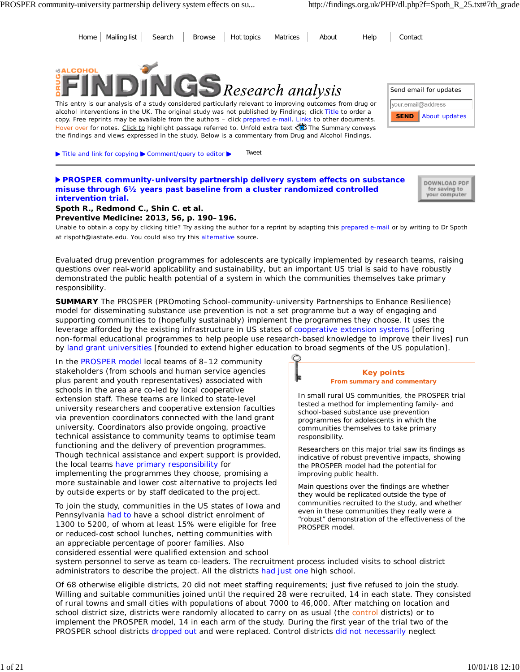

*Evaluated drug prevention programmes for adolescents are typically implemented by research teams, raising questions over real-world applicability and sustainability, but an important US trial is said to have robustly demonstrated the public health potential of a system in which the communities themselves take primary responsibility.*

**SUMMARY** The PROSPER (*PRO*moting *S*chool-community-university *P*artnerships to *E*nhance *R*esilience) model for disseminating substance use prevention is not a set programme but a way of engaging and supporting communities to (hopefully sustainably) implement the programmes they choose. It uses the leverage afforded by the existing infrastructure in US states of cooperative extension systems [offering non-formal educational programmes to help people use research-based knowledge to improve their lives] run by land grant universities [founded to extend higher education to broad segments of the US population].

In the PROSPER model local teams of 8–12 community stakeholders (from schools and human service agencies plus parent and youth representatives) associated with schools in the area are co-led by local cooperative extension staff. These teams are linked to state-level university researchers and cooperative extension faculties via prevention coordinators connected with the land grant university. Coordinators also provide ongoing, proactive technical assistance to community teams to optimise team functioning and the delivery of prevention programmes. Though technical assistance and expert support is provided, the local teams have primary responsibility for implementing the programmes they choose, promising a more sustainable and lower cost alternative to projects led by outside experts or by staff dedicated to the project.

To join the study, communities in the US states of Iowa and Pennsylvania had to have a school district enrolment of 1300 to 5200, of whom at least 15% were eligible for free or reduced-cost school lunches, netting communities with an appreciable percentage of poorer families. Also considered essential were qualified extension and school

#### **Key points From summary and commentary**

In small rural US communities, the PROSPER trial tested a method for implementing family- and school-based substance use prevention programmes for adolescents in which the communities themselves to take primary responsibility.

Researchers on this major trial saw its findings as indicative of robust preventive impacts, showing the PROSPER model had the potential for improving public health.

Main questions over the findings are whether they would be replicated outside the type of communities recruited to the study, and whether even in these communities they really were a "robust" demonstration of the effectiveness of the PROSPER model.

system personnel to serve as team co-leaders. The recruitment process included visits to school district administrators to describe the project. All the districts had just one high school.

Of 68 otherwise eligible districts, 20 did not meet staffing requirements; just five refused to join the study. Willing and suitable communities joined until the required 28 were recruited, 14 in each state. They consisted of rural towns and small cities with populations of about 7000 to 46,000. After matching on location and school district size, districts were randomly allocated to carry on as usual (the control districts) or to implement the PROSPER model, 14 in each arm of the study. During the first year of the trial two of the PROSPER school districts dropped out and were replaced. Control districts did not necessarily neglect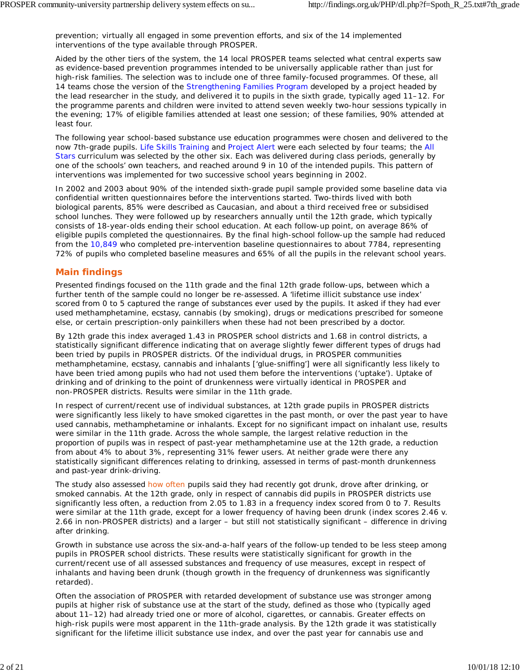prevention; virtually all engaged in some prevention efforts, and six of the 14 implemented interventions of the type available through PROSPER.

Aided by the other tiers of the system, the 14 local PROSPER teams selected what central experts saw as evidence-based prevention programmes intended to be universally applicable rather than just for high-risk families. The selection was to include one of three family-focused programmes. Of these, all 14 teams chose the version of the Strengthening Families Program developed by a project headed by the lead researcher in the study, and delivered it to pupils in the sixth grade, typically aged 11–12. For the programme parents and children were invited to attend seven weekly two-hour sessions typically in the evening; 17% of eligible families attended at least one session; of these families, 90% attended at least four.

The following year school-based substance use education programmes were chosen and delivered to the now 7th-grade pupils. Life Skills Training and Project Alert were each selected by four teams; the All Stars curriculum was selected by the other six. Each was delivered during class periods, generally by one of the schools' own teachers, and reached around 9 in 10 of the intended pupils. This pattern of interventions was implemented for two successive school years beginning in 2002.

In 2002 and 2003 about 90% of the intended sixth-grade pupil sample provided some baseline data via confidential written questionnaires before the interventions started. Two-thirds lived with both biological parents, 85% were described as Caucasian, and about a third received free or subsidised school lunches. They were followed up by researchers annually until the 12th grade, which typically consists of 18-year-olds ending their school education. At each follow-up point, on average 86% of eligible pupils completed the questionnaires. By the final high-school follow-up the sample had reduced from the 10,849 who completed pre-intervention baseline questionnaires to about 7784, representing 72% of pupils who completed baseline measures and 65% of all the pupils in the relevant school years.

#### **Main findings**

Presented findings focused on the 11th grade and the final 12th grade follow-ups, between which a further tenth of the sample could no longer be re-assessed. A 'lifetime illicit substance use index' scored from 0 to 5 captured the range of substances ever used by the pupils. It asked if they had ever used methamphetamine, ecstasy, cannabis (by smoking), drugs or medications prescribed for someone else, or certain prescription-only painkillers when these had not been prescribed by a doctor.

By 12th grade this index averaged 1.43 in PROSPER school districts and 1.68 in control districts, a statistically significant difference indicating that on average slightly fewer different types of drugs had been tried by pupils in PROSPER districts. Of the individual drugs, in PROSPER communities methamphetamine, ecstasy, cannabis and inhalants ['glue-sniffing'] were all significantly less likely to have been tried among pupils who had not used them before the interventions ('uptake'). Uptake of drinking and of drinking to the point of drunkenness were virtually identical in PROSPER and non-PROSPER districts. Results were similar in the 11th grade.

In respect of current/recent use of individual substances, at 12th grade pupils in PROSPER districts were significantly less likely to have smoked cigarettes in the past month, or over the past year to have used cannabis, methamphetamine or inhalants. Except for no significant impact on inhalant use, results were similar in the 11th grade. Across the whole sample, the largest relative reduction in the proportion of pupils was in respect of past-year methamphetamine use at the 12th grade, a reduction from about 4% to about 3%, representing 31% fewer users. At neither grade were there any statistically significant differences relating to drinking, assessed in terms of past-month drunkenness and past-year drink-driving.

The study also assessed how often pupils said they had recently got drunk, drove after drinking, or smoked cannabis. At the 12th grade, only in respect of cannabis did pupils in PROSPER districts use significantly less often, a reduction from 2.05 to 1.83 in a frequency index scored from 0 to 7. Results were similar at the 11th grade, except for a lower frequency of having been drunk (index scores 2.46 v. 2.66 in non-PROSPER districts) and a larger – but still not statistically significant – difference in driving after drinking.

Growth in substance use across the six-and-a-half years of the follow-up tended to be less steep among pupils in PROSPER school districts. These results were statistically significant for growth in the current/recent use of all assessed substances and frequency of use measures, except in respect of inhalants and having been drunk (though growth in the *frequency* of drunkenness was significantly retarded).

Often the association of PROSPER with retarded development of substance use was stronger among pupils at higher risk of substance use at the start of the study, defined as those who (typically aged about 11–12) had already tried one or more of alcohol, cigarettes, or cannabis. Greater effects on high-risk pupils were most apparent in the 11th-grade analysis. By the 12th grade it was statistically significant for the lifetime illicit substance use index, and over the past year for cannabis use and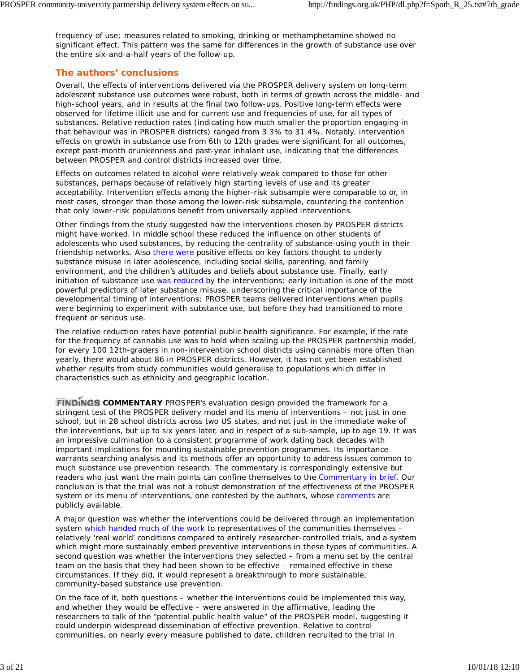frequency of use; measures related to smoking, drinking or methamphetamine showed no significant effect. This pattern was the same for differences in the growth of substance use over the entire six-and-a-half years of the follow-up.

# **The authors' conclusions**

Overall, the effects of interventions delivered via the PROSPER delivery system on long-term adolescent substance use outcomes were robust, both in terms of growth across the middle- and high-school years, and in results at the final two follow-ups. Positive long-term effects were observed for lifetime illicit use and for current use and frequencies of use, for all types of substances. Relative reduction rates (indicating how much smaller the proportion engaging in that behaviour was in PROSPER districts) ranged from 3.3% to 31.4%. Notably, intervention effects on growth in substance use from 6th to 12th grades were significant for all outcomes, except past-month drunkenness and past-year inhalant use, indicating that the differences between PROSPER and control districts increased over time.

Effects on outcomes related to alcohol were relatively weak compared to those for other substances, perhaps because of relatively high starting levels of use and its greater acceptability. Intervention effects among the higher-risk subsample were comparable to or, in most cases, stronger than those among the lower-risk subsample, countering the contention that only lower-risk populations benefit from universally applied interventions.

Other findings from the study suggested how the interventions chosen by PROSPER districts might have worked. In middle school these reduced the influence on other students of adolescents who used substances, by reducing the centrality of substance-using youth in their friendship networks. Also there were positive effects on key factors thought to underly substance misuse in later adolescence, including social skills, parenting, and family environment, and the children's attitudes and beliefs about substance use. Finally, early initiation of substance use was reduced by the interventions; early initiation is one of the most powerful predictors of later substance misuse, underscoring the critical importance of the developmental timing of interventions; PROSPER teams delivered interventions when pupils were beginning to experiment with substance use, but before they had transitioned to more frequent or serious use.

The relative reduction rates have potential public health significance. For example, if the rate for the frequency of cannabis use was to hold when scaling up the PROSPER partnership model, for every 100 12th-graders in non-intervention school districts using cannabis more often than yearly, there would about 86 in PROSPER districts. However, it has not yet been established whether results from study communities would generalise to populations which differ in characteristics such as ethnicity and geographic location.

**FINDINGS COMMENTARY** PROSPER's evaluation design provided the framework for a stringent test of the PROSPER delivery model and its menu of interventions – not just in one school, but in 28 school districts across two US states, and not just in the immediate wake of the interventions, but up to six years later, and in respect of a sub-sample, up to age 19. It was an impressive culmination to a consistent programme of work dating back decades with important implications for mounting sustainable prevention programmes. Its importance warrants searching analysis and its methods offer an opportunity to address issues common to much substance use prevention research. The commentary is correspondingly extensive but readers who just want the main points can confine themselves to the Commentary in brief. Our conclusion is that the trial was not a robust demonstration of the effectiveness of the PROSPER system or its menu of interventions, one contested by the authors, whose comments are publicly available.

A major question was whether the interventions could be delivered through an implementation system which handed much of the work to representatives of the communities themselves – relatively 'real world' conditions compared to entirely researcher-controlled trials, and a system which might more sustainably embed preventive interventions in these types of communities. A second question was whether the interventions they selected – from a menu set by the central team on the basis that they had been shown to be effective – remained effective in these circumstances. If they did, it would represent a breakthrough to more sustainable, community-based substance use prevention.

On the face of it, both questions – whether the interventions could be implemented this way, and whether they would be effective – were answered in the affirmative, leading the researchers to talk of the "potential public health value" of the PROSPER model, suggesting it could underpin widespread dissemination of effective prevention. Relative to control communities, on nearly every measure published to date, children recruited to the trial in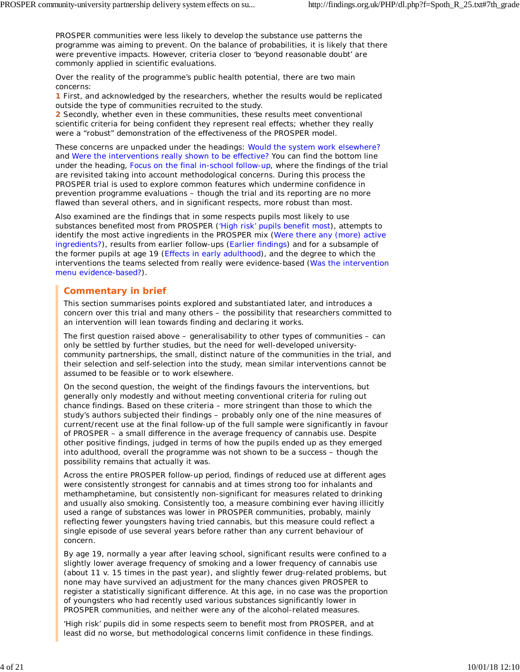PROSPER communities were less likely to develop the substance use patterns the programme was aiming to prevent. On the balance of probabilities, it is likely that there were preventive impacts. However, criteria closer to 'beyond reasonable doubt' are commonly applied in scientific evaluations.

Over the reality of the programme's public health potential, there are two main concerns:

**1** First, and acknowledged by the researchers, whether the results would be replicated outside the type of communities recruited to the study.

**2** Secondly, whether even in these communities, these results meet conventional scientific criteria for being confident they represent real effects; whether they really were a "robust" demonstration of the effectiveness of the PROSPER model.

These concerns are unpacked under the headings: Would the system work elsewhere? and Were the interventions really shown to be effective? You can find the bottom line under the heading, Focus on the final in-school follow-up, where the findings of the trial are revisited taking into account methodological concerns. During this process the PROSPER trial is used to explore common features which undermine confidence in prevention programme evaluations – though the trial and its reporting are no more flawed than several others, and in significant respects, more robust than most.

Also examined are the findings that in some respects pupils most likely to use substances benefited most from PROSPER ('High risk' pupils benefit most), attempts to identify the most active ingredients in the PROSPER mix (Were there any (more) active ingredients?), results from earlier follow-ups (Earlier findings) and for a subsample of the former pupils at age 19 (Effects in early adulthood), and the degree to which the interventions the teams selected from really were evidence-based (Was the intervention menu evidence-based?).

# **Commentary in brief**

This section summarises points explored and substantiated later, and introduces a concern over this trial and many others – the possibility that researchers committed to an intervention will lean towards finding and declaring it works.

The first question raised above  $-$  generalisability to other types of communities  $-$  can only be settled by further studies, but the need for well-developed universitycommunity partnerships, the small, distinct nature of the communities in the trial, and their selection and self-selection into the study, mean similar interventions cannot be assumed to be feasible or to work elsewhere.

On the second question, the weight of the findings favours the interventions, but generally only modestly and without meeting conventional criteria for ruling out chance findings. Based on these criteria – more stringent than those to which the study's authors subjected their findings – probably only one of the nine measures of current/recent use at the final follow-up of the full sample were significantly in favour of PROSPER – a small difference in the average frequency of cannabis use. Despite other positive findings, judged in terms of how the pupils ended up as they emerged into adulthood, overall the programme was not *shown* to be a success – though the possibility remains that actually it was.

Across the entire PROSPER follow-up period, findings of reduced use at different ages were consistently strongest for cannabis and at times strong too for inhalants and methamphetamine, but consistently non-significant for measures related to drinking and usually also smoking. Consistently too, a measure combining ever having illicitly used a range of substances was lower in PROSPER communities, probably, mainly reflecting fewer youngsters having tried cannabis, but this measure could reflect a single episode of use several years before rather than any current behaviour of concern.

By age 19, normally a year after leaving school, significant results were confined to a slightly lower average frequency of smoking and a lower frequency of cannabis use (about 11 v. 15 times in the past year), and slightly fewer drug-related problems, but none may have survived an adjustment for the many chances given PROSPER to register a statistically significant difference. At this age, in no case was the proportion of youngsters who had recently used various substances significantly lower in PROSPER communities, and neither were any of the alcohol-related measures.

'High risk' pupils did in some respects seem to benefit most from PROSPER, and at least did no worse, but methodological concerns limit confidence in these findings.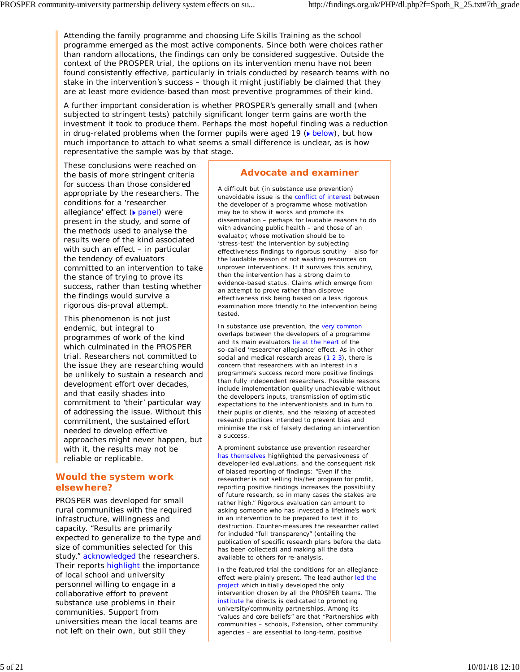Attending the family programme and choosing Life Skills Training as the school programme emerged as the most active components. Since both were choices rather than random allocations, the findings can only be considered suggestive. Outside the context of the PROSPER trial, the options on its intervention menu have not been found consistently effective, particularly in trials conducted by research teams with no stake in the intervention's success – though it might justifiably be claimed that they are at least *more* evidence-based than most preventive programmes of their kind.

A further important consideration is whether PROSPER's generally small and (when subjected to stringent tests) patchily significant longer term gains are worth the investment it took to produce them. Perhaps the most hopeful finding was a reduction in drug-related problems when the former pupils were aged 19  $(\blacktriangleright \text{below})$ , but how much importance to attach to what seems a small difference is unclear, as is how representative the sample was by that stage.

These conclusions were reached on the basis of more stringent criteria for success than those considered appropriate by the researchers. The conditions for a 'researcher allegiance' effect (**b** panel) were present in the study, and some of the methods used to analyse the results were of the kind associated with such an effect - in particular the tendency of evaluators committed to an intervention to take the stance of trying to prove its success, rather than testing whether the findings would survive a rigorous *dis*-proval attempt.

This phenomenon is not just endemic, but integral to programmes of work of the kind which culminated in the PROSPER trial. Researchers not committed to the issue they are researching would be unlikely to sustain a research and development effort over decades, and that easily shades into commitment to 'their' particular way of addressing the issue. Without this commitment, the sustained effort needed to develop effective approaches might never happen, but with it, the results may not be reliable or replicable.

### **Would the system work elsewhere?**

PROSPER was developed for small rural communities with the required infrastructure, willingness and capacity. "Results are primarily expected to generalize to the type and size of communities selected for this study," acknowledged the researchers. Their reports highlight the importance of local school and university personnel willing to engage in a collaborative effort to prevent substance use problems in their communities. Support from universities mean the local teams are not left on their own, but still they

# **Advocate and examiner**

A difficult but (in substance use prevention) unavoidable issue is the conflict of interest between the developer of a programme whose motivation may be to show it works and promote its dissemination – perhaps for laudable reasons to do with advancing public health – and those of an evaluator, whose motivation should be to 'stress-test' the intervention by subjecting effectiveness findings to rigorous scrutiny – also for the laudable reason of not wasting resources on unproven interventions. If it survives this scrutiny, then the intervention has a strong claim to evidence-based status. Claims which emerge from an attempt to prove rather than disprove effectiveness risk being based on a less rigorous examination more friendly to the intervention being tested.

In substance use prevention, the very common overlaps between the developers of a programme and its main evaluators lie at the heart of the so-called 'researcher allegiance' effect. As in other social and medical research areas (1 2 3), there is concern that researchers with an interest in a programme's success record more positive findings than fully independent researchers. Possible reasons include implementation quality unachievable without the developer's inputs, transmission of optimistic expectations to the interventionists and in turn to their pupils or clients, and the relaxing of accepted research practices intended to prevent bias and minimise the risk of falsely declaring an intervention a success.

A prominent substance use prevention researcher has themselves highlighted the pervasiveness of developer-led evaluations, and the consequent risk of biased reporting of findings: "Even if the researcher is not selling his/her program for profit, reporting positive findings increases the possibility of future research, so in many cases the stakes are rather high." Rigorous evaluation can amount to asking someone who has invested a lifetime's work in an intervention to be prepared to test it to destruction. Counter-measures the researcher called for included "full transparency" (entailing the publication of specific research plans before the data has been collected) and making all the data available to others for re-analysis.

In the featured trial the conditions for an allegiance effect were plainly present. The lead author led the project which initially developed the only intervention chosen by all the PROSPER teams. The institute he directs is dedicated to promoting university/community partnerships. Among its "values and core beliefs" are that "Partnerships with communities – schools, Extension, other community agencies – are essential to long-term, positive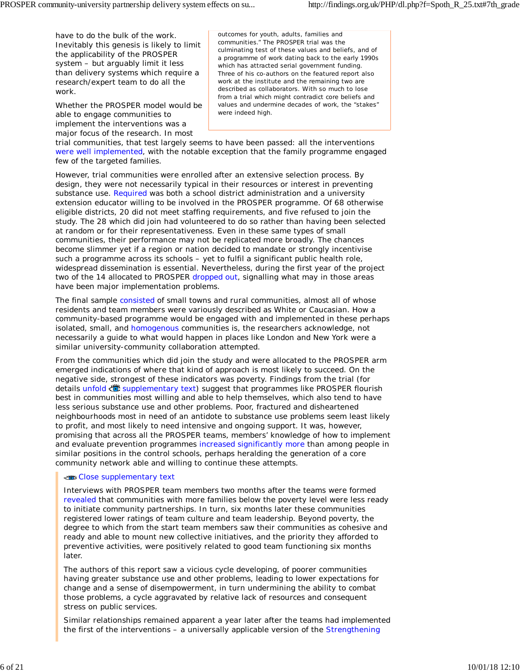have to do the bulk of the work. Inevitably this genesis is likely to limit the applicability of the PROSPER system – but arguably limit it less than delivery systems which require a research/expert team to do all the work.

Whether the PROSPER model would be able to engage communities to implement the interventions was a major focus of the research. In most

outcomes for youth, adults, families and communities." The PROSPER trial was the culminating test of these values and beliefs, and of a programme of work dating back to the early 1990s which has attracted serial government funding. Three of his co-authors on the featured report also work at the institute and the remaining two are described as collaborators. With so much to lose from a trial which might contradict core beliefs and values and undermine decades of work, the "stakes" were indeed high.

trial communities, that test largely seems to have been passed: all the interventions were well implemented, with the notable exception that the family programme engaged few of the targeted families.

However, trial communities were enrolled after an extensive selection process. By design, they were not necessarily typical in their resources or interest in preventing substance use. Required was both a school district administration and a university extension educator willing to be involved in the PROSPER programme. Of 68 otherwise eligible districts, 20 did not meet staffing requirements, and five refused to join the study. The 28 which did join had volunteered to do so rather than having been selected at random or for their representativeness. Even in these same types of small communities, their performance may not be replicated more broadly. The chances become slimmer yet if a region or nation decided to mandate or strongly incentivise such a programme across its schools – yet to fulfil a significant public health role, widespread dissemination is essential. Nevertheless, during the first year of the project two of the 14 allocated to PROSPER dropped out, signalling what may in those areas have been major implementation problems.

The final sample consisted of small towns and rural communities, almost all of whose residents and team members were variously described as White or Caucasian. How a community-based programme would be engaged with and implemented in these perhaps isolated, small, and homogenous communities is, the researchers acknowledge, not necessarily a guide to what would happen in places like London and New York were a similar university-community collaboration attempted.

From the communities which did join the study and were allocated to the PROSPER arm emerged indications of where that kind of approach is most likely to succeed. On the negative side, strongest of these indicators was poverty. Findings from the trial (for details unfold  $\ddot{\ddot{\ddot{\phi}}}$  supplementary text) suggest that programmes like PROSPER flourish best in communities most willing and able to help themselves, which also tend to have less serious substance use and other problems. Poor, fractured and disheartened neighbourhoods most in need of an antidote to substance use problems seem least likely to profit, and most likely to need intensive and ongoing support. It was, however, promising that across all the PROSPER teams, members' knowledge of how to implement and evaluate prevention programmes increased significantly more than among people in similar positions in the control schools, perhaps heralding the generation of a core community network able and willing to continue these attempts.

#### Close supplementary text

Interviews with PROSPER team members two months after the teams were formed revealed that communities with more families below the poverty level were less ready to initiate community partnerships. In turn, six months later these communities registered lower ratings of team culture and team leadership. Beyond poverty, the degree to which from the start team members saw their communities as cohesive and ready and able to mount new collective initiatives, and the priority they afforded to preventive activities, were positively related to good team functioning six months later.

The authors of this report saw a vicious cycle developing, of poorer communities having greater substance use and other problems, leading to lower expectations for change and a sense of disempowerment, in turn undermining the ability to combat those problems, a cycle aggravated by relative lack of resources and consequent stress on public services.

Similar relationships remained apparent a year later after the teams had implemented the first of the interventions – a universally applicable version of the Strengthening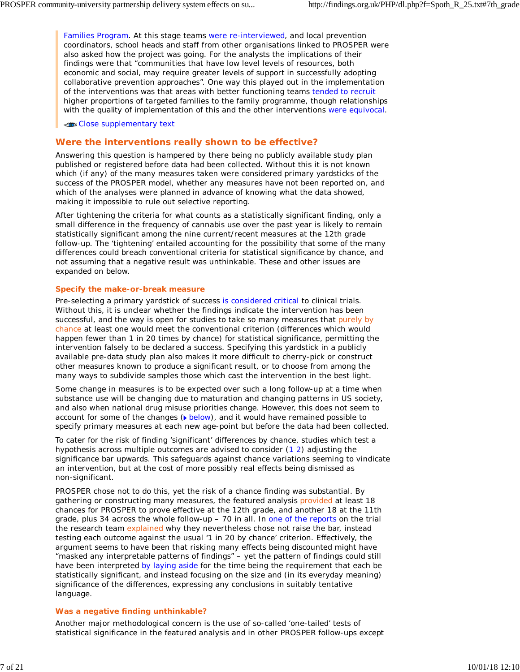Families Program. At this stage teams were re-interviewed, and local prevention coordinators, school heads and staff from other organisations linked to PROSPER were also asked how the project was going. For the analysts the implications of their findings were that "communities that have low level levels of resources, both economic and social, may require greater levels of support in successfully adopting collaborative prevention approaches". One way this played out in the implementation of the interventions was that areas with better functioning teams tended to recruit higher proportions of targeted families to the family programme, though relationships with the *quality* of implementation of this and the other interventions were equivocal.

Close supplementary text

### **Were the interventions really shown to be effective?**

Answering this question is hampered by there being no publicly available study plan published or registered before data had been collected. Without this it is not known which (if any) of the many measures taken were considered primary yardsticks of the success of the PROSPER model, whether any measures have not been reported on, and which of the analyses were planned in advance of knowing what the data showed, making it impossible to rule out selective reporting.

After tightening the criteria for what counts as a statistically significant finding, only a small difference in the frequency of cannabis use over the past year is likely to remain statistically significant among the nine current/recent measures at the 12th grade follow-up. The 'tightening' entailed accounting for the possibility that some of the many differences could breach conventional criteria for statistical significance by chance, and not assuming that a negative result was unthinkable. These and other issues are expanded on below.

#### **Specify the make-or-break measure**

Pre-selecting a primary yardstick of success is considered critical to clinical trials. Without this, it is unclear whether the findings indicate the intervention has been successful, and the way is open for studies to take so many measures that purely by chance at least one would meet the conventional criterion (differences which would happen fewer than 1 in 20 times by chance) for statistical significance, permitting the intervention falsely to be declared a success. Specifying this yardstick in a publicly available pre-data study plan also makes it more difficult to cherry-pick or construct other measures known to produce a significant result, or to choose from among the many ways to subdivide samples those which cast the intervention in the best light.

Some change in measures is to be expected over such a long follow-up at a time when substance use will be changing due to maturation and changing patterns in US society, and also when national drug misuse priorities change. However, this does not seem to account for some of the changes ( $\bullet$  below), and it would have remained possible to specify primary measures at each new age-point but before the data had been collected.

To cater for the risk of finding 'significant' differences by chance, studies which test a hypothesis across multiple outcomes are advised to consider (1 2) adjusting the significance bar upwards. This safeguards against chance variations seeming to vindicate an intervention, but at the cost of more possibly real effects being dismissed as non-significant.

PROSPER chose not to do this, yet the risk of a chance finding was substantial. By gathering or constructing many measures, the featured analysis provided at least 18 chances for PROSPER to prove effective at the 12th grade, and another 18 at the 11th grade, plus 34 across the whole follow-up – 70 in all. In one of the reports on the trial the research team explained why they nevertheless chose not raise the bar, instead testing each outcome against the usual '1 in 20 by chance' criterion. Effectively, the argument seems to have been that risking many effects being discounted might have "masked any interpretable patterns of findings" – yet the pattern of findings could still have been interpreted by laying aside for the time being the requirement that each be statistically significant, and instead focusing on the size and (in its everyday meaning) significance of the differences, expressing any conclusions in suitably tentative language.

#### **Was a negative finding unthinkable?**

Another major methodological concern is the use of so-called 'one-tailed' tests of statistical significance in the featured analysis and in other PROSPER follow-ups except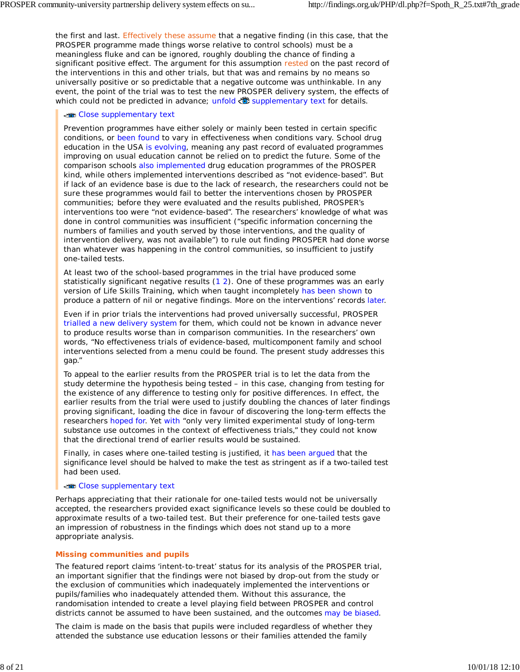the first and last. Effectively these assume that a negative finding (in this case, that the PROSPER programme made things worse relative to control schools) must be a meaningless fluke and can be ignored, roughly doubling the chance of finding a significant positive effect. The argument for this assumption rested on the past record of the interventions in this and other trials, but that was and remains by no means so universally positive or so predictable that a negative outcome was unthinkable. In any event, the point of the trial was to test the new PROSPER delivery system, the effects of which could not be predicted in advance; unfold  $\ddot{\ddot{\phi}}$  supplementary text for details.

#### Close supplementary text

Prevention programmes have either solely or mainly been tested in certain specific conditions, or been found to vary in effectiveness when conditions vary. School drug education in the USA is evolving, meaning any past record of evaluated programmes improving on usual education cannot be relied on to predict the future. Some of the comparison schools also implemented drug education programmes of the PROSPER kind, while others implemented interventions described as "not evidence-based". But if lack of an evidence base is due to the lack of research, the researchers could not be sure these programmes would fail to better the interventions chosen by PROSPER communities; before they were evaluated and the results published, PROSPER's interventions too were "not evidence-based". The researchers' knowledge of what was done in control communities was insufficient ("specific information concerning the numbers of families and youth served by those interventions, and the quality of intervention delivery, was not available") to rule out finding PROSPER had done worse than whatever was happening in the control communities, so insufficient to justify one-tailed tests.

At least two of the school-based programmes in the trial have produced some statistically significant *negative* results (1 2). One of these programmes was an early version of Life Skills Training, which when taught incompletely has been shown to produce a pattern of nil or negative findings. More on the interventions' records later.

Even if in prior trials the interventions had proved universally successful, PROSPER trialled a new delivery system for them, which could not be known in advance never to produce results worse than in comparison communities. In the researchers' own words, "No effectiveness trials of evidence-based, multicomponent family and school interventions selected from a menu could be found. The present study addresses this gap."

To appeal to the earlier results from the PROSPER trial is to let the data from the study determine the hypothesis being tested – in this case, changing from testing for the existence of any difference to testing only for positive differences. In effect, the earlier results from the trial were used to justify doubling the chances of later findings proving significant, loading the dice in favour of discovering the long-term effects the researchers hoped for. Yet with "only very limited experimental study of long-term substance use outcomes in the context of effectiveness trials," they could not know that the directional trend of earlier results would be sustained.

Finally, in cases where one-tailed testing is justified, it has been argued that the significance level should be halved to make the test as stringent as if a two-tailed test had been used.

#### Close supplementary text

Perhaps appreciating that their rationale for one-tailed tests would not be universally accepted, the researchers provided exact significance levels so these could be doubled to approximate results of a two-tailed test. But their preference for one-tailed tests gave an impression of robustness in the findings which does not stand up to a more appropriate analysis.

### **Missing communities and pupils**

The featured report claims 'intent-to-treat' status for its analysis of the PROSPER trial, an important signifier that the findings were not biased by drop-out from the study or the exclusion of communities which inadequately implemented the interventions or pupils/families who inadequately attended them. Without this assurance, the randomisation intended to create a level playing field between PROSPER and control districts cannot be assumed to have been sustained, and the outcomes may be biased.

The claim is made on the basis that pupils were included regardless of whether they attended the substance use education lessons or their families attended the family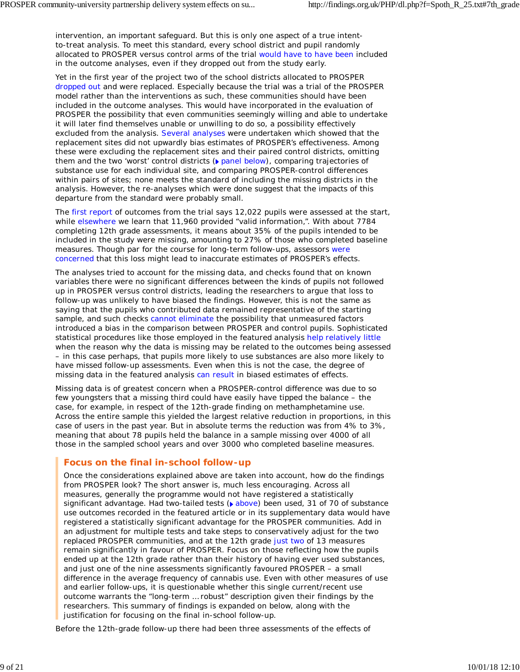intervention, an important safeguard. But this is only one aspect of a true intentto-treat analysis. To meet this standard, every school district and pupil randomly allocated to PROSPER versus control arms of the trial would have to have been included in the outcome analyses, even if they dropped out from the study early.

Yet in the first year of the project two of the school districts allocated to PROSPER dropped out and were replaced. Especially because the trial was a trial of the PROSPER model rather than the interventions as such, these communities should have been included in the outcome analyses. This would have incorporated in the evaluation of PROSPER the possibility that even communities seemingly willing and able to undertake it will later find themselves unable or unwilling to do so, a possibility effectively excluded from the analysis. Several analyses were undertaken which showed that the replacement sites did not upwardly bias estimates of PROSPER's effectiveness. Among these were excluding the replacement sites and their paired control districts, omitting them and the two 'worst' control districts ( $\triangleright$  panel below), comparing trajectories of substance use for each individual site, and comparing PROSPER-control differences within pairs of sites; none meets the standard of including the missing districts in the analysis. However, the re-analyses which were done suggest that the impacts of this departure from the standard were probably small.

The first report of outcomes from the trial says 12,022 pupils were assessed at the start, while elsewhere we learn that 11,960 provided "valid information,". With about 7784 completing 12th grade assessments, it means about 35% of the pupils intended to be included in the study were missing, amounting to 27% of those who completed baseline measures. Though par for the course for long-term follow-ups, assessors were concerned that this loss might lead to inaccurate estimates of PROSPER's effects.

The analyses tried to account for the missing data, and checks found that on known variables there were no significant differences between the kinds of pupils not followed up in PROSPER versus control districts, leading the researchers to argue that loss to follow-up was unlikely to have biased the findings. However, this is not the same as saying that the pupils who contributed data remained representative of the starting sample, and such checks cannot eliminate the possibility that unmeasured factors introduced a bias in the comparison between PROSPER and control pupils. Sophisticated statistical procedures like those employed in the featured analysis help relatively little when the reason why the data is missing may be related to the outcomes being assessed – in this case perhaps, that pupils more likely to use substances are also more likely to have missed follow-up assessments. Even when this is not the case, the degree of missing data in the featured analysis can result in biased estimates of effects.

Missing data is of greatest concern when a PROSPER-control difference was due to so few youngsters that a missing third could have easily have tipped the balance – the case, for example, in respect of the 12th-grade finding on methamphetamine use. Across the entire sample this yielded the largest relative reduction in proportions, in this case of users in the past year. But in absolute terms the reduction was from 4% to 3%, meaning that about 78 pupils held the balance in a sample missing over 4000 of all those in the sampled school years and over 3000 who completed baseline measures.

# **Focus on the final in-school follow-up**

Once the considerations explained above are taken into account, how do the findings from PROSPER look? The short answer is, much less encouraging. Across all measures, generally the programme would not have registered a statistically significant advantage. Had two-tailed tests  $($  above) been used, 31 of 70 of substance use outcomes recorded in the featured article or in its supplementary data would have registered a statistically significant advantage for the PROSPER communities. Add in an adjustment for multiple tests and take steps to conservatively adjust for the two replaced PROSPER communities, and at the 12th grade just two of 13 measures remain significantly in favour of PROSPER. Focus on those reflecting how the pupils ended up at the 12th grade rather than their history of having ever used substances, and just one of the nine assessments significantly favoured PROSPER – a small difference in the average frequency of cannabis use. Even with other measures of use and earlier follow-ups, it is questionable whether this single current/recent use outcome warrants the "long-term … robust" description given their findings by the researchers. This summary of findings is expanded on below, along with the justification for focusing on the final in-school follow-up.

Before the 12th-grade follow-up there had been three assessments of the effects of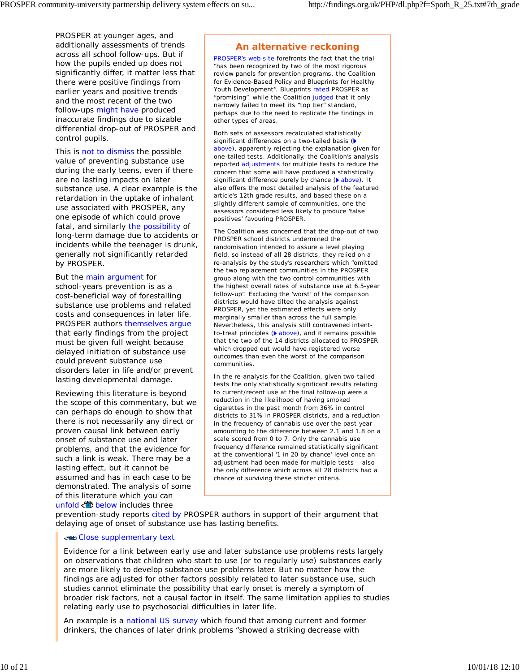PROSPER at younger ages, and additionally assessments of trends across all school follow-ups. But if how the pupils *ended up* does not significantly differ, it matter less that there were positive findings from earlier years and positive trends – and the most recent of the two follow-ups might have produced inaccurate findings due to sizable differential drop-out of PROSPER and control pupils.

This is not to dismiss the possible value of preventing substance use during the early teens, even if there are no lasting impacts on later substance use. A clear example is the retardation in the uptake of inhalant use associated with PROSPER, any one episode of which could prove fatal, and similarly the possibility of long-term damage due to accidents or incidents while the teenager is drunk, generally not significantly retarded by PROSPER.

But the main argument for school-years prevention is as a cost-beneficial way of forestalling substance use problems and related costs and consequences in later life. PROSPER authors themselves argue that early findings from the project must be given full weight because delayed initiation of substance use could prevent substance use disorders later in life and/or prevent lasting developmental damage.

Reviewing this literature is beyond the scope of this commentary, but we can perhaps do enough to show that there is not necessarily any direct or proven causal link between early onset of substance use and later problems, and that the evidence for such a link is weak. There may be a lasting effect, but it cannot be assumed and has in each case to be demonstrated. The analysis of some of this literature which you can unfold  $\ddot{\ddot{\bullet}}$  below includes three

# **An alternative reckoning**

PROSPER's web site forefronts the fact that the trial "has been recognized by two of the most rigorous review panels for prevention programs, the Coalition for Evidence-Based Policy and Blueprints for Healthy Youth Development". Blueprints rated PROSPER as "promising", while the Coalition judged that it only narrowly failed to meet its "top tier" standard, perhaps due to the need to replicate the findings in other types of areas.

Both sets of assessors recalculated statistically significant differences on a two-tailed basis ( above), apparently rejecting the explanation given for one-tailed tests. Additionally, the Coalition's analysis reported adjustments for multiple tests to reduce the concern that some will have produced a statistically significant difference purely by chance ( above). It also offers the most detailed analysis of the featured article's 12th grade results, and based these on a slightly different sample of communities, one the assessors considered less likely to produce 'false positives' favouring PROSPER.

The Coalition was concerned that the drop-out of two PROSPER school districts undermined the randomisation intended to assure a level playing field, so instead of all 28 districts, they relied on a re-analysis by the study's researchers which "omitted the two replacement communities in the PROSPER group along with the two control communities with the highest overall rates of substance use at 6.5-year follow-up". Excluding the 'worst' of the comparison districts would have tilted the analysis against PROSPER, yet the estimated effects were only marginally smaller than across the full sample. Nevertheless, this analysis still contravened intentto-treat principles  $($  above), and it remains possible that the two of the 14 districts allocated to PROSPER which dropped out would have registered worse outcomes than even the worst of the comparison communities.

In the re-analysis for the Coalition, given two-tailed tests the only statistically significant results relating to current/recent use at the final follow-up were a reduction in the likelihood of having smoked cigarettes in the past month from 36% in control districts to 31% in PROSPER districts, and a reduction in the frequency of cannabis use over the past year amounting to the difference between 2.1 and 1.8 on a scale scored from 0 to 7. Only the cannabis use frequency difference remained statistically significant at the conventional '1 in 20 by chance' level once an adjustment had been made for multiple tests – also the only difference which across all 28 districts had a chance of surviving these stricter criteria.

prevention-study reports cited by PROSPER authors in support of their argument that delaying age of onset of substance use has lasting benefits.

#### Close supplementary text

Evidence for a link between early use and later substance use problems rests largely on observations that children who start to use (or to regularly use) substances early are more likely to develop substance use problems later. But no matter how the findings are adjusted for other factors possibly related to later substance use, such studies cannot eliminate the possibility that early onset is merely a symptom of broader risk factors, not a causal factor in itself. The same limitation applies to studies relating early use to psychosocial difficulties in later life.

An example is a national US survey which found that among current and former drinkers, the chances of later drink problems "showed a striking decrease with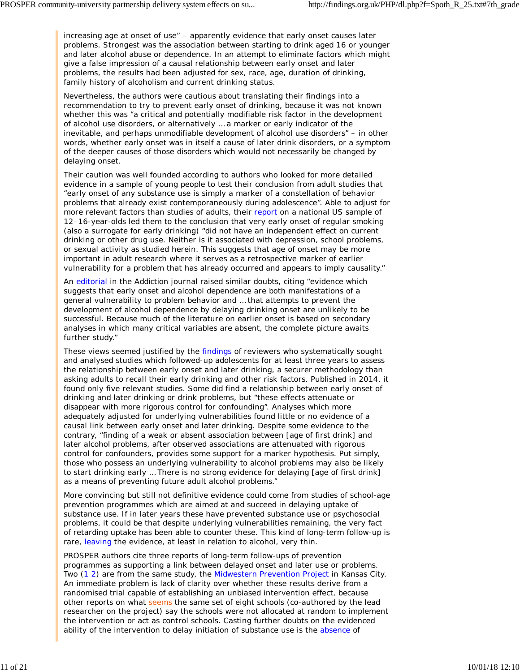increasing age at onset of use" – apparently evidence that early onset causes later problems. Strongest was the association between starting to drink aged 16 or younger and later alcohol abuse or dependence. In an attempt to eliminate factors which might give a false impression of a causal relationship between early onset and later problems, the results had been adjusted for sex, race, age, duration of drinking, family history of alcoholism and current drinking status.

Nevertheless, the authors were cautious about translating their findings into a recommendation to try to prevent early onset of drinking, because it was not known whether this was "a critical and potentially modifiable risk factor in the development of alcohol use disorders, or alternatively … a marker or early indicator of the inevitable, and perhaps unmodifiable development of alcohol use disorders" – in other words, whether early onset was in itself a cause of later drink disorders, or a symptom of the deeper causes of those disorders which would not necessarily be changed by delaying onset.

Their caution was well founded according to authors who looked for more detailed evidence in a sample of young people to test their conclusion from adult studies that "early onset of any substance use is simply a marker of a constellation of behavior problems that already exist contemporaneously during adolescence". Able to adjust for more relevant factors than studies of adults, their report on a national US sample of 12–16-year-olds led them to the conclusion that very early onset of regular smoking (also a surrogate for early drinking) "did not have an independent effect on current drinking or other drug use. Neither is it associated with depression, school problems, or sexual activity as studied herein. This suggests that age of onset may be more important in adult research where it serves as a retrospective marker of earlier vulnerability for a problem that has already occurred and appears to imply causality."

An editorial in the *Addiction* journal raised similar doubts, citing "evidence which suggests that early onset and alcohol dependence are both manifestations of a general vulnerability to problem behavior and … that attempts to prevent the development of alcohol dependence by delaying drinking onset are unlikely to be successful. Because much of the literature on earlier onset is based on secondary analyses in which many critical variables are absent, the complete picture awaits further study."

These views seemed justified by the findings of reviewers who systematically sought and analysed studies which followed-up adolescents for at least three years to assess the relationship between early onset and later drinking, a securer methodology than asking adults to recall their early drinking and other risk factors. Published in 2014, it found only five relevant studies. Some did find a relationship between early onset of drinking and later drinking or drink problems, but "these effects attenuate or disappear with more rigorous control for confounding". Analyses which more adequately adjusted for underlying vulnerabilities found little or no evidence of a causal link between early onset and later drinking. Despite some evidence to the contrary, "finding of a weak or absent association between [age of first drink] and later alcohol problems, after observed associations are attenuated with rigorous control for confounders, provides some support for a marker hypothesis. Put simply, those who possess an underlying vulnerability to alcohol problems may also be likely to start drinking early … There is no strong evidence for delaying [age of first drink] as a means of preventing future adult alcohol problems."

More convincing but still not definitive evidence could come from studies of school-age prevention programmes which are aimed at and succeed in delaying uptake of substance use. If in later years these have prevented substance use or psychosocial problems, it could be that despite underlying vulnerabilities remaining, the very fact of retarding uptake has been able to counter these. This kind of long-term follow-up is rare, leaving the evidence, at least in relation to alcohol, very thin.

PROSPER authors cite three reports of long-term follow-ups of prevention programmes as supporting a link between delayed onset and later use or problems. Two (1 2) are from the same study, the Midwestern Prevention Project in Kansas City. An immediate problem is lack of clarity over whether these results derive from a randomised trial capable of establishing an unbiased intervention effect, because other reports on what seems the same set of eight schools (co-authored by the lead researcher on the project) say the schools were not allocated at random to implement the intervention or act as control schools. Casting further doubts on the evidenced ability of the intervention to delay initiation of substance use is the absence of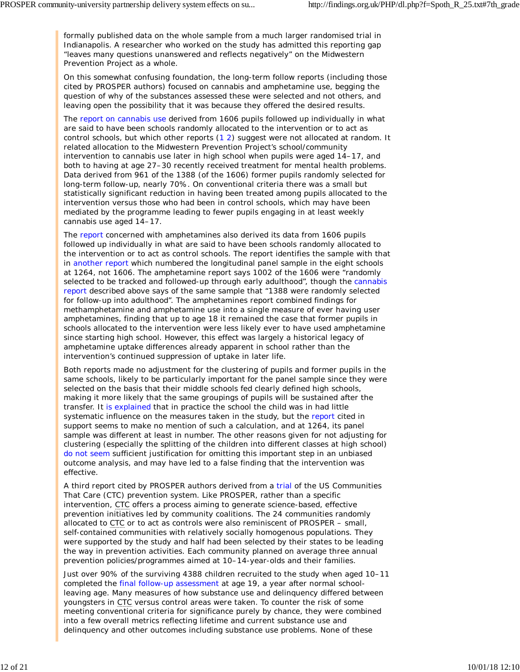formally published data on the whole sample from a much larger randomised trial in Indianapolis. A researcher who worked on the study has admitted this reporting gap "leaves many questions unanswered and reflects negatively" on the Midwestern Prevention Project as a whole.

On this somewhat confusing foundation, the long-term follow reports (including those cited by PROSPER authors) focused on cannabis and amphetamine use, begging the question of why of the substances assessed these were selected and not others, and leaving open the possibility that it was because they offered the desired results.

The report on cannabis use derived from 1606 pupils followed up individually in what are said to have been schools randomly allocated to the intervention or to act as control schools, but which other reports (1 2) suggest were not allocated at random. It related allocation to the Midwestern Prevention Project's school/community intervention to cannabis use later in high school when pupils were aged 14–17, and both to having at age 27–30 recently received treatment for mental health problems. Data derived from 961 of the 1388 (of the 1606) former pupils randomly selected for long-term follow-up, nearly 70%. On conventional criteria there was a small but statistically significant reduction in having been treated among pupils allocated to the intervention versus those who had been in control schools, which may have been mediated by the programme leading to fewer pupils engaging in at least weekly cannabis use aged 14–17.

The report concerned with amphetamines also derived its data from 1606 pupils followed up individually in what are said to have been schools randomly allocated to the intervention or to act as control schools. The report identifies the sample with that in another report which numbered the longitudinal panel sample in the eight schools at 1264, not 1606. The amphetamine report says 1002 of the 1606 were "randomly selected to be tracked and followed-up through early adulthood", though the cannabis report described above says of the same sample that "1388 were randomly selected for follow-up into adulthood". The amphetamines report combined findings for methamphetamine and amphetamine use into a single measure of ever having user amphetamines, finding that up to age 18 it remained the case that former pupils in schools allocated to the intervention were less likely ever to have used amphetamine since starting high school. However, this effect was largely a historical legacy of amphetamine uptake differences already apparent in school rather than the intervention's continued suppression of uptake in later life.

Both reports made no adjustment for the clustering of pupils and former pupils in the same schools, likely to be particularly important for the panel sample since they were selected on the basis that their middle schools fed clearly defined high schools, making it more likely that the same groupings of pupils will be sustained after the transfer. It is explained that in practice the school the child was in had little systematic influence on the measures taken in the study, but the report cited in support seems to make no mention of such a calculation, and at 1264, its panel sample was different at least in number. The other reasons given for not adjusting for clustering (especially the splitting of the children into different classes at high school) do not seem sufficient justification for omitting this important step in an unbiased outcome analysis, and may have led to a false finding that the intervention was effective.

A third report cited by PROSPER authors derived from a trial of the US Communities That Care (CTC) prevention system. Like PROSPER, rather than a specific intervention, CTC offers a process aiming to generate science-based, effective prevention initiatives led by community coalitions. The 24 communities randomly allocated to CTC or to act as controls were also reminiscent of PROSPER – small, self-contained communities with relatively socially homogenous populations. They were supported by the study and half had been selected by their states to be leading the way in prevention activities. Each community planned on average three annual prevention policies/programmes aimed at 10–14-year-olds and their families.

Just over 90% of the surviving 4388 children recruited to the study when aged 10–11 completed the final follow-up assessment at age 19, a year after normal schoolleaving age. Many measures of how substance use and delinquency differed between youngsters in CTC versus control areas were taken. To counter the risk of some meeting conventional criteria for significance purely by chance, they were combined into a few overall metrics reflecting lifetime and current substance use and delinquency and other outcomes including substance use problems. None of these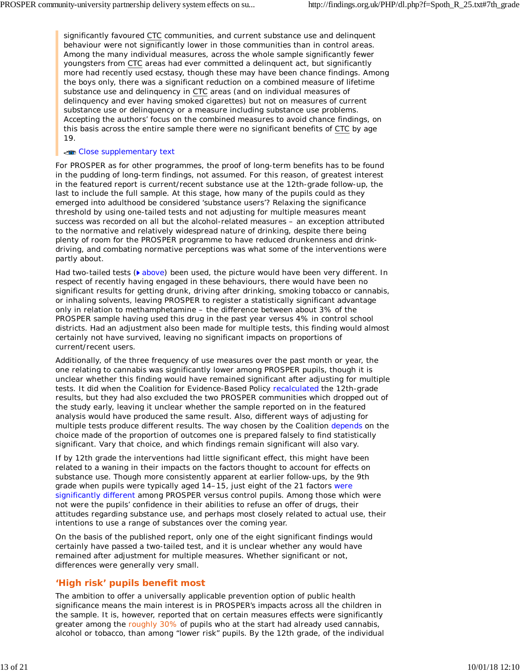significantly favoured CTC communities, and current substance use and delinquent behaviour were not significantly lower in those communities than in control areas. Among the many individual measures, across the whole sample significantly fewer youngsters from CTC areas had ever committed a delinquent act, but significantly more had recently used ecstasy, though these may have been chance findings. Among the boys only, there was a significant reduction on a combined measure of lifetime substance use and delinquency in CTC areas (and on individual measures of delinquency and ever having smoked cigarettes) but not on measures of current substance use or delinquency or a measure including substance use problems. Accepting the authors' focus on the combined measures to avoid chance findings, on this basis across the entire sample there were no significant benefits of CTC by age 19.

#### Close supplementary text

For PROSPER as for other programmes, the proof of long-term benefits has to be found in the pudding of long-term findings, not assumed. For this reason, of greatest interest in the featured report is current/recent substance use at the 12th-grade follow-up, the last to include the full sample. At this stage, how many of the pupils could as they emerged into adulthood be considered 'substance users'? Relaxing the significance threshold by using one-tailed tests and not adjusting for multiple measures meant success was recorded on all but the alcohol-related measures – an exception attributed to the normative and relatively widespread nature of drinking, despite there being plenty of room for the PROSPER programme to have reduced drunkenness and drinkdriving, and combating normative perceptions was what some of the interventions were partly about.

Had two-tailed tests ( $\bullet$  above) been used, the picture would have been very different. In respect of recently having engaged in these behaviours, there would have been no significant results for getting drunk, driving after drinking, smoking tobacco or cannabis, or inhaling solvents, leaving PROSPER to register a statistically significant advantage only in relation to methamphetamine – the difference between about 3% of the PROSPER sample having used this drug in the past year versus 4% in control school districts. Had an adjustment also been made for multiple tests, this finding would almost certainly not have survived, leaving no significant impacts on proportions of current/recent users.

Additionally, of the three frequency of use measures over the past month or year, the one relating to cannabis was significantly lower among PROSPER pupils, though it is unclear whether this finding would have remained significant after adjusting for multiple tests. It did when the Coalition for Evidence-Based Policy recalculated the 12th-grade results, but they had also excluded the two PROSPER communities which dropped out of the study early, leaving it unclear whether the sample reported on in the featured analysis would have produced the same result. Also, different ways of adjusting for multiple tests produce different results. The way chosen by the Coalition depends on the choice made of the proportion of outcomes one is prepared falsely to find statistically significant. Vary that choice, and which findings remain significant will also vary.

If by 12th grade the interventions had little significant effect, this might have been related to a waning in their impacts on the factors thought to account for effects on substance use. Though more consistently apparent at earlier follow-ups, by the 9th grade when pupils were typically aged 14–15, just eight of the 21 factors were significantly different among PROSPER versus control pupils. Among those which were not were the pupils' confidence in their abilities to refuse an offer of drugs, their attitudes regarding substance use, and perhaps most closely related to actual use, their intentions to use a range of substances over the coming year.

On the basis of the published report, only one of the eight significant findings would certainly have passed a two-tailed test, and it is unclear whether any would have remained after adjustment for multiple measures. Whether significant or not, differences were generally very small.

# **'High risk' pupils benefit most**

The ambition to offer a universally applicable prevention option of public health significance means the main interest is in PROSPER's impacts across all the children in the sample. It is, however, reported that on certain measures effects were significantly greater among the roughly 30% of pupils who at the start had already used cannabis, alcohol or tobacco, than among "lower risk" pupils. By the 12th grade, of the individual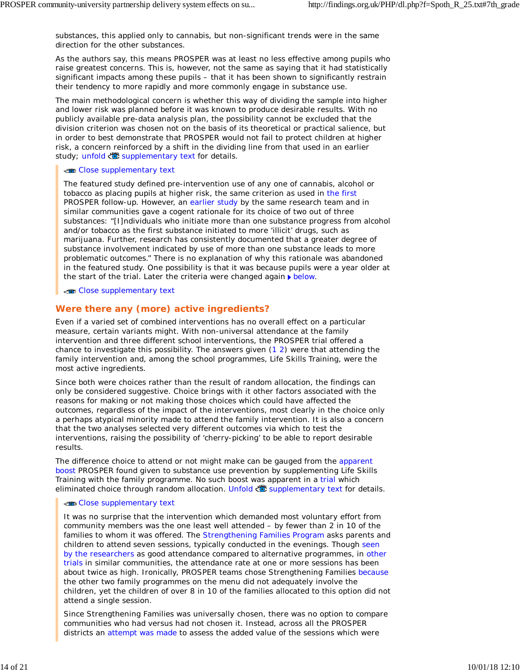substances, this applied only to cannabis, but non-significant trends were in the same direction for the other substances.

As the authors say, this means PROSPER was at least no less effective among pupils who raise greatest concerns. This is, however, not the same as saying that it had statistically significant impacts *among* these pupils – that it has been shown to significantly restrain their tendency to more rapidly and more commonly engage in substance use.

The main methodological concern is whether this way of dividing the sample into higher and lower risk was planned before it was known to produce desirable results. With no publicly available pre-data analysis plan, the possibility cannot be excluded that the division criterion was chosen not on the basis of its theoretical or practical salience, but in order to best demonstrate that PROSPER would not fail to protect children at higher risk, a concern reinforced by a shift in the dividing line from that used in an earlier study; unfold supplementary text for details.

#### Close supplementary text

The featured study defined pre-intervention use of any one of cannabis, alcohol or tobacco as placing pupils at higher risk, the same criterion as used in the first PROSPER follow-up. However, an earlier study by the same research team and in similar communities gave a cogent rationale for its choice of *two* out of three substances: "[I]ndividuals who initiate more than one substance progress from alcohol and/or tobacco as the first substance initiated to more 'illicit' drugs, such as marijuana. Further, research has consistently documented that a greater degree of substance involvement indicated by use of more than one substance leads to more problematic outcomes." There is no explanation of why this rationale was abandoned in the featured study. One possibility is that it was because pupils were a year older at the start of the trial. Later the criteria were changed again  $\blacktriangleright$  below.

#### Close supplementary text

# **Were there any (more) active ingredients?**

Even if a varied set of combined interventions has no overall effect on a particular measure, certain variants might. With non-universal attendance at the family intervention and three different school interventions, the PROSPER trial offered a chance to investigate this possibility. The answers given  $(1 2)$  were that attending the family intervention and, among the school programmes, Life Skills Training, were the most active ingredients.

Since both were choices rather than the result of random allocation, the findings can only be considered suggestive. Choice brings with it other factors associated with the reasons for making or not making those choices which could have affected the outcomes, regardless of the impact of the interventions, most clearly in the choice only a perhaps atypical minority made to attend the family intervention. It is also a concern that the two analyses selected very different outcomes via which to test the interventions, raising the possibility of 'cherry-picking' to be able to report desirable results.

The difference choice to attend or not might make can be gauged from the apparent boost PROSPER found given to substance use prevention by supplementing Life Skills Training with the family programme. No such boost was apparent in a trial which eliminated choice through random allocation. Unfold supplementary text for details.

#### Close supplementary text

It was no surprise that the intervention which demanded most voluntary effort from community members was the one least well attended – by fewer than 2 in 10 of the families to whom it was offered. The Strengthening Families Program asks parents and children to attend seven sessions, typically conducted in the evenings. Though seen by the researchers as good attendance compared to alternative programmes, in other trials in similar communities, the attendance rate at one or more sessions has been about twice as high. Ironically, PROSPER teams chose Strengthening Families because the other two family programmes on the menu did not adequately involve the children, yet the children of over 8 in 10 of the families allocated to this option did not attend a single session.

Since Strengthening Families was universally chosen, there was no option to compare communities who had versus had not chosen it. Instead, across all the PROSPER districts an attempt was made to assess the added value of the sessions which *were*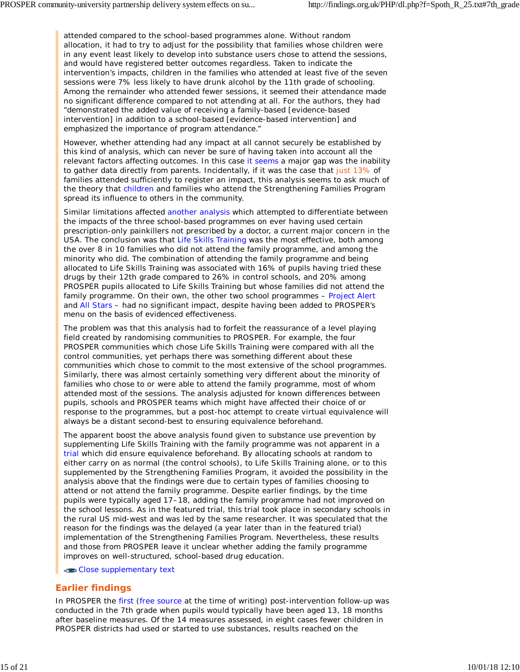attended compared to the school-based programmes alone. Without random allocation, it had to try to adjust for the possibility that families whose children were in any event least likely to develop into substance users chose to attend the sessions, and would have registered better outcomes regardless. Taken to indicate the intervention's impacts, children in the families who attended at least five of the seven sessions were 7% less likely to have drunk alcohol by the 11th grade of schooling. Among the remainder who attended fewer sessions, it seemed their attendance made no significant difference compared to not attending at all. For the authors, they had "demonstrated the added value of receiving a family-based [evidence-based intervention] in addition to a school-based [evidence-based intervention] and emphasized the importance of program attendance."

However, whether attending had any impact at all cannot securely be established by this kind of analysis, which can never be sure of having taken into account all the relevant factors affecting outcomes. In this case it seems a major gap was the inability to gather data directly from parents. Incidentally, if it was the case that just 13% of families attended sufficiently to register an impact, this analysis seems to ask much of the theory that children and families who attend the Strengthening Families Program spread its influence to others in the community.

Similar limitations affected another analysis which attempted to differentiate between the impacts of the three school-based programmes on ever having used certain prescription-only painkillers not prescribed by a doctor, a current major concern in the USA. The conclusion was that Life Skills Training was the most effective, both among the over 8 in 10 families who did not attend the family programme, and among the minority who did. The combination of attending the family programme and being allocated to Life Skills Training was associated with 16% of pupils having tried these drugs by their 12th grade compared to 26% in control schools, and 20% among PROSPER pupils allocated to Life Skills Training but whose families did not attend the family programme. On their own, the other two school programmes – Project Alert and All Stars – had no significant impact, despite having been added to PROSPER's menu on the basis of evidenced effectiveness.

The problem was that this analysis had to forfeit the reassurance of a level playing field created by randomising communities to PROSPER. For example, the four PROSPER communities which chose Life Skills Training were compared with all the control communities, yet perhaps there was something different about these communities which chose to commit to the most extensive of the school programmes. Similarly, there was almost certainly something very different about the minority of families who chose to or were able to attend the family programme, most of whom attended most of the sessions. The analysis adjusted for known differences between pupils, schools and PROSPER teams which might have affected their choice of or response to the programmes, but a *post-hoc* attempt to create virtual equivalence will always be a distant second-best to ensuring equivalence beforehand.

The apparent boost the above analysis found given to substance use prevention by supplementing Life Skills Training with the family programme was not apparent in a trial which did ensure equivalence beforehand. By allocating schools at random to either carry on as normal (the control schools), to Life Skills Training alone, or to this supplemented by the Strengthening Families Program, it avoided the possibility in the analysis above that the findings were due to certain types of families choosing to attend or not attend the family programme. Despite earlier findings, by the time pupils were typically aged 17–18, adding the family programme had not improved on the school lessons. As in the featured trial, this trial took place in secondary schools in the rural US mid-west and was led by the same researcher. It was speculated that the reason for the findings was the delayed (a year later than in the featured trial) implementation of the Strengthening Families Program. Nevertheless, these results and those from PROSPER leave it unclear whether adding the family programme improves on well-structured, school-based drug education.

Close supplementary text

# **Earlier findings**

In PROSPER the first (free source at the time of writing) post-intervention follow-up was conducted in the 7th grade when pupils would typically have been aged 13, 18 months after baseline measures. Of the 14 measures assessed, in eight cases fewer children in PROSPER districts had used or started to use substances, results reached on the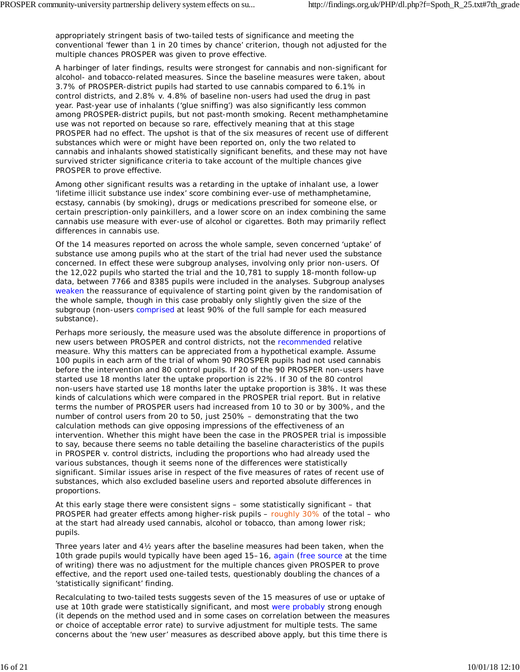appropriately stringent basis of two-tailed tests of significance and meeting the conventional 'fewer than 1 in 20 times by chance' criterion, though not adjusted for the multiple chances PROSPER was given to prove effective.

A harbinger of later findings, results were strongest for cannabis and non-significant for alcohol- and tobacco-related measures. Since the baseline measures were taken, about 3.7% of PROSPER-district pupils had started to use cannabis compared to 6.1% in control districts, and 2.8% v. 4.8% of baseline non-users had used the drug in past year. Past-year use of inhalants ('glue sniffing') was also significantly less common among PROSPER-district pupils, but not past-month smoking. Recent methamphetamine use was not reported on because so rare, effectively meaning that at this stage PROSPER had no effect. The upshot is that of the six measures of recent use of different substances which were or might have been reported on, only the two related to cannabis and inhalants showed statistically significant benefits, and these may not have survived stricter significance criteria to take account of the multiple chances give PROSPER to prove effective.

Among other significant results was a retarding in the uptake of inhalant use, a lower 'lifetime illicit substance use index' score combining ever-use of methamphetamine, ecstasy, cannabis (by smoking), drugs or medications prescribed for someone else, or certain prescription-only painkillers, and a lower score on an index combining the same cannabis use measure with ever-use of alcohol or cigarettes. Both may primarily reflect differences in cannabis use.

Of the 14 measures reported on across the whole sample, seven concerned 'uptake' of substance use among pupils who at the start of the trial had never used the substance concerned. In effect these were subgroup analyses, involving only prior non-users. Of the 12,022 pupils who started the trial and the 10,781 to supply 18-month follow-up data, between 7766 and 8385 pupils were included in the analyses. Subgroup analyses weaken the reassurance of equivalence of starting point given by the randomisation of the whole sample, though in this case probably only slightly given the size of the subgroup (non-users comprised at least 90% of the full sample for each measured substance).

Perhaps more seriously, the measure used was the absolute difference in proportions of new users between PROSPER and control districts, not the recommended relative measure. Why this matters can be appreciated from a hypothetical example. Assume 100 pupils in each arm of the trial of whom 90 PROSPER pupils had not used cannabis before the intervention and 80 control pupils. If 20 of the 90 PROSPER non-users have started use 18 months later the uptake proportion is 22%. If 30 of the 80 control non-users have started use 18 months later the uptake proportion is 38%. It was these kinds of calculations which were compared in the PROSPER trial report. But in *relative* terms the number of PROSPER users had increased from 10 to 30 or by 300%, and the number of control users from 20 to 50, just 250% – demonstrating that the two calculation methods can give opposing impressions of the effectiveness of an intervention. Whether this might have been the case in the PROSPER trial is impossible to say, because there seems no table detailing the baseline characteristics of the pupils in PROSPER v. control districts, including the proportions who had already used the various substances, though it seems none of the differences were statistically significant. Similar issues arise in respect of the five measures of rates of recent use of substances, which also excluded baseline users and reported absolute differences in proportions.

At this early stage there were consistent signs – some statistically significant – that PROSPER had greater effects among higher-risk pupils – roughly 30% of the total – who at the start had already used cannabis, alcohol or tobacco, than among lower risk; pupils.

Three years later and 4½ years after the baseline measures had been taken, when the 10th grade pupils would typically have been aged 15–16, again (free source at the time of writing) there was no adjustment for the multiple chances given PROSPER to prove effective, and the report used one-tailed tests, questionably doubling the chances of a 'statistically significant' finding.

Recalculating to two-tailed tests suggests seven of the 15 measures of use or uptake of use at 10th grade were statistically significant, and most were probably strong enough (it depends on the method used and in some cases on correlation between the measures or choice of acceptable error rate) to survive adjustment for multiple tests. The same concerns about the 'new user' measures as described above apply, but this time there is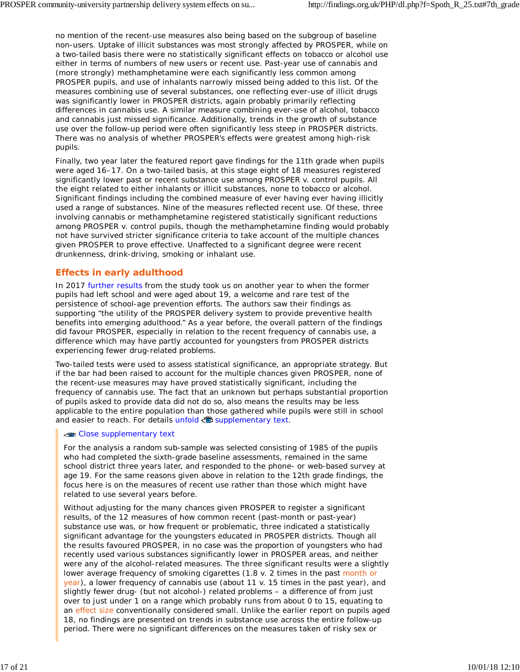no mention of the recent-use measures also being based on the subgroup of baseline non-users. Uptake of illicit substances was most strongly affected by PROSPER, while on a two-tailed basis there were no statistically significant effects on tobacco or alcohol use either in terms of numbers of new users or recent use. Past-year use of cannabis and (more strongly) methamphetamine were each significantly less common among PROSPER pupils, and use of inhalants narrowly missed being added to this list. Of the measures combining use of several substances, one reflecting ever-use of illicit drugs was significantly lower in PROSPER districts, again probably primarily reflecting differences in cannabis use. A similar measure combining ever-use of alcohol, tobacco and cannabis just missed significance. Additionally, trends in the growth of substance use over the follow-up period were often significantly less steep in PROSPER districts. There was no analysis of whether PROSPER's effects were greatest among high-risk pupils.

Finally, two year later the featured report gave findings for the 11th grade when pupils were aged 16–17. On a two-tailed basis, at this stage eight of 18 measures registered significantly lower past or recent substance use among PROSPER v. control pupils. All the eight related to either inhalants or illicit substances, none to tobacco or alcohol. Significant findings including the combined measure of ever having ever having illicitly used a range of substances. Nine of the measures reflected recent use. Of these, three involving cannabis or methamphetamine registered statistically significant reductions among PROSPER v. control pupils, though the methamphetamine finding would probably not have survived stricter significance criteria to take account of the multiple chances given PROSPER to prove effective. Unaffected to a significant degree were recent drunkenness, drink-driving, smoking or inhalant use.

# **Effects in early adulthood**

In 2017 further results from the study took us on another year to when the former pupils had left school and were aged about 19, a welcome and rare test of the persistence of school-age prevention efforts. The authors saw their findings as supporting "the utility of the PROSPER delivery system to provide preventive health benefits into emerging adulthood." As a year before, the overall pattern of the findings did favour PROSPER, especially in relation to the recent frequency of cannabis use, a difference which may have partly accounted for youngsters from PROSPER districts experiencing fewer drug-related problems.

Two-tailed tests were used to assess statistical significance, an appropriate strategy. But if the bar had been raised to account for the multiple chances given PROSPER, none of the recent-use measures may have proved statistically significant, including the frequency of cannabis use. The fact that an unknown but perhaps substantial proportion of pupils asked to provide data did not do so, also means the results may be less applicable to the entire population than those gathered while pupils were still in school and easier to reach. For details unfold supplementary text.

### **Close supplementary text**

For the analysis a random sub-sample was selected consisting of 1985 of the pupils who had completed the sixth-grade baseline assessments, remained in the same school district three years later, and responded to the phone- or web-based survey at age 19. For the same reasons given above in relation to the 12th grade findings, the focus here is on the measures of recent use rather than those which might have related to use several years before.

Without adjusting for the many chances given PROSPER to register a significant results, of the 12 measures of how common recent (past-month or past-year) substance use was, or how frequent or problematic, three indicated a statistically significant advantage for the youngsters educated in PROSPER districts. Though all the results favoured PROSPER, in no case was the proportion of youngsters who had recently used various substances significantly lower in PROSPER areas, and neither were any of the alcohol-related measures. The three significant results were a slightly lower average frequency of smoking cigarettes (1.8 v. 2 times in the past month or year), a lower frequency of cannabis use (about 11 v. 15 times in the past year), and slightly fewer drug- (but not alcohol-) related problems – a difference of from just over to just under 1 on a range which probably runs from about 0 to 15, equating to an effect size conventionally considered small. Unlike the earlier report on pupils aged 18, no findings are presented on trends in substance use across the entire follow-up period. There were no significant differences on the measures taken of risky sex or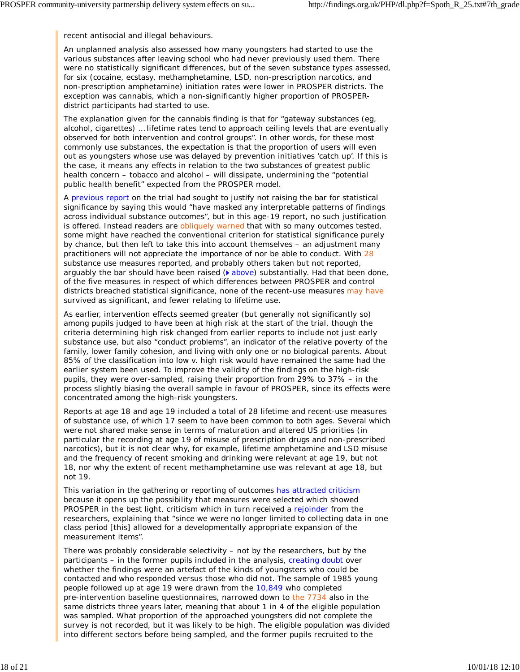recent antisocial and illegal behaviours.

An unplanned analysis also assessed how many youngsters had started to use the various substances after leaving school who had never previously used them. There were no statistically significant differences, but of the seven substance types assessed, for six (cocaine, ecstasy, methamphetamine, LSD, non-prescription narcotics, and non-prescription amphetamine) initiation rates were lower in PROSPER districts. The exception was cannabis, which a non-significantly higher proportion of PROSPERdistrict participants had started to use.

The explanation given for the cannabis finding is that for "gateway substances (eg, alcohol, cigarettes) … lifetime rates tend to approach ceiling levels that are eventually observed for both intervention and control groups". In other words, for these most commonly use substances, the expectation is that the proportion of users will even out as youngsters whose use was delayed by prevention initiatives 'catch up'. If this is the case, it means any effects in relation to the two substances of greatest public health concern – tobacco and alcohol – will dissipate, undermining the "potential public health benefit" expected from the PROSPER model.

A previous report on the trial had sought to justify not raising the bar for statistical significance by saying this would "have masked any interpretable patterns of findings across individual substance outcomes", but in this age-19 report, no such justification is offered. Instead readers are obliquely warned that with so many outcomes tested, some might have reached the conventional criterion for statistical significance purely by chance, but then left to take this into account themselves – an adjustment many practitioners will not appreciate the importance of nor be able to conduct. With 28 substance use measures reported, and probably others taken but not reported, arguably the bar should have been raised  $(\triangleright$  above) substantially. Had that been done, of the five measures in respect of which differences between PROSPER and control districts breached statistical significance, none of the recent-use measures may have survived as significant, and fewer relating to lifetime use.

As earlier, intervention effects seemed greater (but generally not significantly so) among pupils judged to have been at high risk at the start of the trial, though the criteria determining high risk changed from earlier reports to include not just early substance use, but also "conduct problems", an indicator of the relative poverty of the family, lower family cohesion, and living with only one or no biological parents. About 85% of the classification into low v. high risk would have remained the same had the earlier system been used. To improve the validity of the findings on the high-risk pupils, they were over-sampled, raising their proportion from 29% to 37% – in the process slightly biasing the overall sample in favour of PROSPER, since its effects were concentrated among the high-risk youngsters.

Reports at age 18 and age 19 included a total of 28 lifetime and recent-use measures of substance use, of which 17 seem to have been common to both ages. Several which were not shared make sense in terms of maturation and altered US priorities (in particular the recording at age 19 of misuse of prescription drugs and non-prescribed narcotics), but it is not clear why, for example, lifetime amphetamine and LSD misuse and the frequency of recent smoking and drinking were relevant at age 19, but not 18, nor why the extent of recent methamphetamine use was relevant at age 18, but not 19.

This variation in the gathering or reporting of outcomes has attracted criticism because it opens up the possibility that measures were selected which showed PROSPER in the best light, criticism which in turn received a rejoinder from the researchers, explaining that "since we were no longer limited to collecting data in one class period [this] allowed for a developmentally appropriate expansion of the measurement items".

There was probably considerable selectivity – not by the researchers, but by the participants – in the former pupils included in the analysis, creating doubt over whether the findings were an artefact of the kinds of youngsters who could be contacted and who responded versus those who did not. The sample of 1985 young people followed up at age 19 were drawn from the 10,849 who completed pre-intervention baseline questionnaires, narrowed down to the 7734 also in the same districts three years later, meaning that about 1 in 4 of the eligible population was sampled. What proportion of the approached youngsters did not complete the survey is not recorded, but it was likely to be high. The eligible population was divided into different sectors before being sampled, and the former pupils recruited to the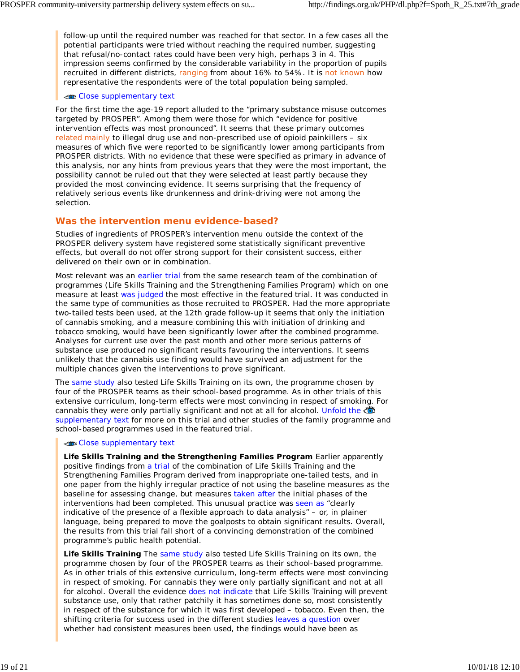follow-up until the required number was reached for that sector. In a few cases all the potential participants were tried without reaching the required number, suggesting that refusal/no-contact rates could have been very high, perhaps 3 in 4. This impression seems confirmed by the considerable variability in the proportion of pupils recruited in different districts, ranging from about 16% to 54%. It is not known how representative the respondents were of the total population being sampled.

#### Close supplementary text

For the first time the age-19 report alluded to the "primary substance misuse outcomes targeted by PROSPER". Among them were those for which "evidence for positive intervention effects was most pronounced". It seems that these primary outcomes related mainly to illegal drug use and non-prescribed use of opioid painkillers - six measures of which five were reported to be significantly lower among participants from PROSPER districts. With no evidence that these were specified as primary in advance of this analysis, nor any hints from previous years that they were the most important, the possibility cannot be ruled out that they were selected at least partly because they provided the most convincing evidence. It seems surprising that the frequency of relatively serious events like drunkenness and drink-driving were not among the selection.

### **Was the intervention menu evidence-based?**

Studies of ingredients of PROSPER's intervention menu outside the context of the PROSPER delivery system have registered some statistically significant preventive effects, but overall do not offer strong support for their consistent success, either delivered on their own or in combination.

Most relevant was an earlier trial from the same research team of the combination of programmes (Life Skills Training and the Strengthening Families Program) which on one measure at least was judged the most effective in the featured trial. It was conducted in the same type of communities as those recruited to PROSPER. Had the more appropriate two-tailed tests been used, at the 12th grade follow-up it seems that only the initiation of cannabis smoking, and a measure combining this with initiation of drinking and tobacco smoking, would have been significantly lower after the combined programme. Analyses for current use over the past month and other more serious patterns of substance use produced no significant results favouring the interventions. It seems unlikely that the cannabis use finding would have survived an adjustment for the multiple chances given the interventions to prove significant.

The same study also tested Life Skills Training on its own, the programme chosen by four of the PROSPER teams as their school-based programme. As in other trials of this extensive curriculum, long-term effects were most convincing in respect of smoking. For cannabis they were only partially significant and not at all for alcohol. Unfold the supplementary text for more on this trial and other studies of the family programme and school-based programmes used in the featured trial.

#### Close supplementary text

**Life Skills Training and the Strengthening Families Program** Earlier apparently positive findings from a trial of the combination of Life Skills Training and the Strengthening Families Program derived from inappropriate one-tailed tests, and in one paper from the highly irregular practice of not using the baseline measures as the baseline for assessing change, but measures taken after the initial phases of the interventions had been completed. This unusual practice was seen as "clearly indicative of the presence of a flexible approach to data analysis" – or, in plainer language, being prepared to move the goalposts to obtain significant results. Overall, the results from this trial fall short of a convincing demonstration of the combined programme's public health potential.

**Life Skills Training** The same study also tested Life Skills Training on its own, the programme chosen by four of the PROSPER teams as their school-based programme. As in other trials of this extensive curriculum, long-term effects were most convincing in respect of smoking. For cannabis they were only partially significant and not at all for alcohol. Overall the evidence does not indicate that Life Skills Training *will* prevent substance use, only that rather patchily it has sometimes done so, most consistently in respect of the substance for which it was first developed – tobacco. Even then, the shifting criteria for success used in the different studies leaves a question over whether had consistent measures been used, the findings would have been as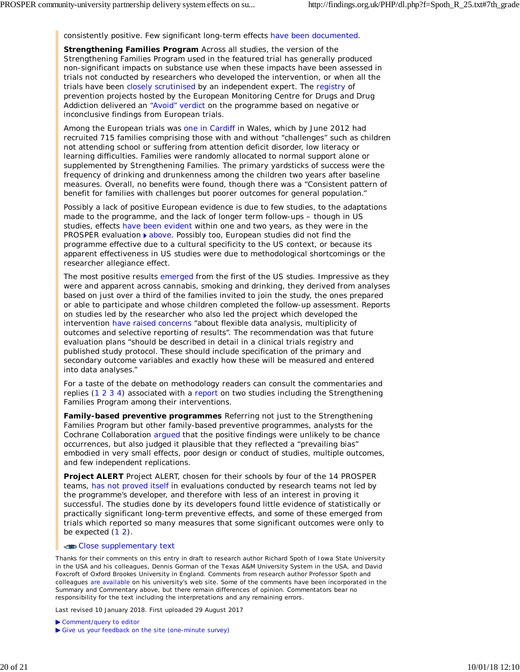consistently positive. Few significant long-term effects have been documented.

**Strengthening Families Program** Across all studies, the version of the Strengthening Families Program used in the featured trial has generally produced non-significant impacts on substance use when these impacts have been assessed in trials not conducted by researchers who developed the intervention, or when all the trials have been closely scrutinised by an independent expert. The registry of prevention projects hosted by the European Monitoring Centre for Drugs and Drug Addiction delivered an "Avoid" verdict on the programme based on negative or inconclusive findings from European trials.

Among the European trials was one in Cardiff in Wales, which by June 2012 had recruited 715 families comprising those with and without "challenges" such as children not attending school or suffering from attention deficit disorder, low literacy or learning difficulties. Families were randomly allocated to normal support alone or supplemented by Strengthening Families. The primary yardsticks of success were the frequency of drinking and drunkenness among the children two years after baseline measures. Overall, no benefits were found, though there was a "Consistent pattern of benefit for families with challenges but poorer outcomes for general population."

Possibly a lack of positive European evidence is due to few studies, to the adaptations made to the programme, and the lack of longer term follow-ups – though in US studies, effects have been evident within one and two years, as they were in the PROSPER evaluation ▶ above. Possibly too, European studies did not find the programme effective due to a cultural specificity to the US context, or because its apparent effectiveness in US studies were due to methodological shortcomings or the researcher allegiance effect.

The most positive results emerged from the first of the US studies. Impressive as they were and apparent across cannabis, smoking and drinking, they derived from analyses based on just over a third of the families invited to join the study, the ones prepared or able to participate and whose children completed the follow-up assessment. Reports on studies led by the researcher who also led the project which developed the intervention have raised concerns "about flexible data analysis, multiplicity of outcomes and selective reporting of results". The recommendation was that future evaluation plans "should be described in detail in a clinical trials registry and published study protocol. These should include specification of the primary and secondary outcome variables and exactly how these will be measured and entered into data analyses."

For a taste of the debate on methodology readers can consult the commentaries and replies (1 2 3 4) associated with a report on two studies including the Strengthening Families Program among their interventions.

**Family-based preventive programmes** Referring not just to the Strengthening Families Program but other family-based preventive programmes, analysts for the Cochrane Collaboration argued that the positive findings were unlikely to be chance occurrences, but also judged it plausible that they reflected a "prevailing bias" embodied in very small effects, poor design or conduct of studies, multiple outcomes, and few independent replications.

**Project ALERT** Project ALERT, chosen for their schools by four of the 14 PROSPER teams, has not proved itself in evaluations conducted by research teams not led by the programme's developer, and therefore with less of an interest in proving it successful. The studies done by its developers found little evidence of statistically or practically significant long-term preventive effects, and some of these emerged from trials which reported so many measures that some significant outcomes were only to be expected  $(1 2)$ .

#### Close supplementary text

*Thanks for their comments on this entry in draft to research author Richard Spoth of Iowa State University in the USA and his colleagues, Dennis Gorman of the Texas A&M University System in the USA, and David Foxcroft of Oxford Brookes University in England. Comments from research author Professor Spoth and colleagues are available on his university's web site. Some of the comments have been incorporated in the Summary and Commentary above, but there remain differences of opinion. Commentators bear no responsibility for the text including the interpretations and any remaining errors.*

Last revised 10 January 2018. First uploaded 29 August 2017

Comment/query to editor

Give us your feedback on the site (one-minute survey)